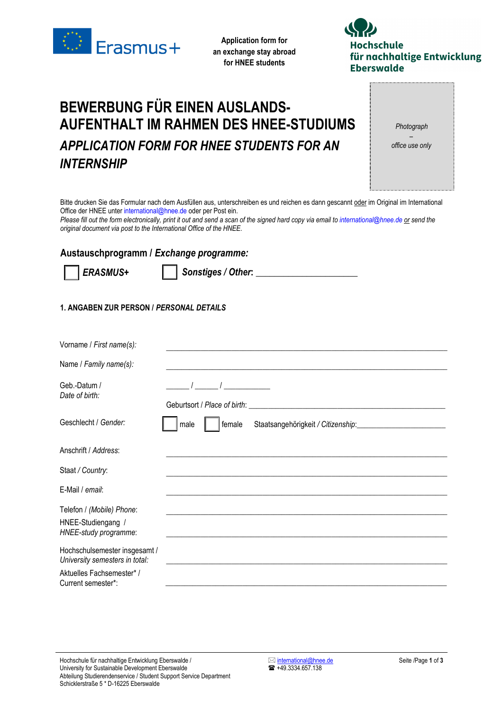

**Application form for an exchange stay abroad for HNEE students** 



## *INTERNSHIP APPLICATION FORM FOR HNEE STUDENTS FOR AN*  **AUFENTHALT IM RAHMEN DES HNEE-STUDIUMS BEWERBUNG FÜR EINEN AUSLANDS-**

*Photograph – office use only* 

Bitte drucken Sie das Formular nach dem Ausfüllen aus, unterschreiben es und reichen es dann gescannt oder im Original im International Office der HNEE unter international@hnee.de oder per Post ein.

*Please fill out the form electronically, print it out and send a scan of the signed hard copy via email to international@hnee.de or send the original document via post to the International Office of the HNEE.*

## **Austauschprogramm /** *Exchange programme:*



*ERASMUS+ Sonstiges / Other***:** *\_\_\_\_\_\_\_\_\_\_\_\_\_\_\_\_\_\_\_\_\_\_*

## **1. ANGABEN ZUR PERSON /** *PERSONAL DETAILS*

| female<br>male |
|----------------|
|                |
|                |
|                |
|                |
|                |
|                |
|                |
|                |

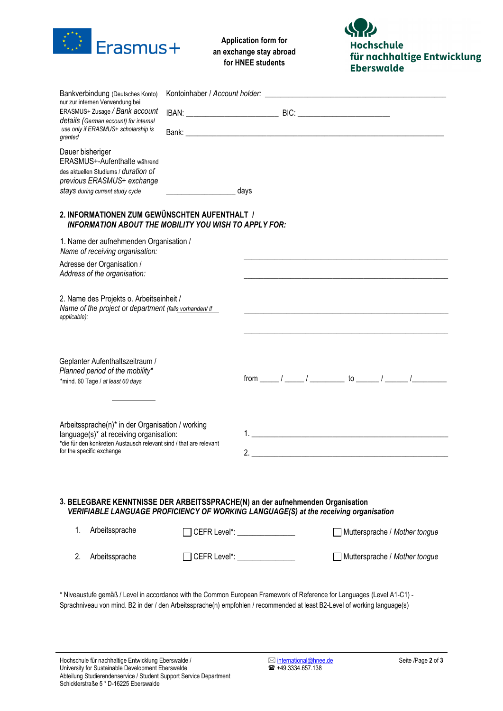

**Application form for an exchange stay abroad for HNEE students** 

**Hochschule** für nachhaltige Entwicklung **Eberswalde** 

| Bankverbindung (Deutsches Konto)                                                                                                                                       |  |                                |                               |
|------------------------------------------------------------------------------------------------------------------------------------------------------------------------|--|--------------------------------|-------------------------------|
| nur zur internen Verwendung bei<br>ERASMUS+ Zusage / Bank account                                                                                                      |  |                                |                               |
| details (German account) for internal<br>use only if ERASMUS+ scholarship is<br>granted                                                                                |  |                                |                               |
| Dauer bisheriger<br>ERASMUS+-Aufenthalte während<br>des aktuellen Studiums / duration of<br>previous ERASMUS+ exchange<br>stays during current study cycle             |  | days                           |                               |
| 2. INFORMATIONEN ZUM GEWÜNSCHTEN AUFENTHALT /<br><b>INFORMATION ABOUT THE MOBILITY YOU WISH TO APPLY FOR:</b>                                                          |  |                                |                               |
| 1. Name der aufnehmenden Organisation /<br>Name of receiving organisation:                                                                                             |  |                                |                               |
| Adresse der Organisation /<br>Address of the organisation:                                                                                                             |  |                                |                               |
| 2. Name des Projekts o. Arbeitseinheit /<br>Name of the project or department (falls vorhanden) if<br>applicable):                                                     |  |                                |                               |
|                                                                                                                                                                        |  |                                |                               |
| Geplanter Aufenthaltszeitraum /<br>Planned period of the mobility*<br>*mind. 60 Tage / at least 60 days                                                                |  |                                |                               |
| Arbeitssprache(n)* in der Organisation / working                                                                                                                       |  |                                |                               |
| language(s)* at receiving organisation:<br>*die für den konkreten Austausch relevant sind / that are relevant<br>for the specific exchange                             |  |                                |                               |
|                                                                                                                                                                        |  |                                | 2.                            |
| 3. BELEGBARE KENNTNISSE DER ARBEITSSPRACHE(N) an der aufnehmenden Organisation<br>VERIFIABLE LANGUAGE PROFICIENCY OF WORKING LANGUAGE(S) at the receiving organisation |  |                                |                               |
| 1.<br>Arbeitssprache                                                                                                                                                   |  | ◯ CEFR Level*: _______________ | Muttersprache / Mother tongue |
| 2.<br>Arbeitssprache                                                                                                                                                   |  | CEFR Level*: _______________   | Muttersprache / Mother tongue |
| * Niveaustufe gemäß / Level in accordance with the Common European Framework of Reference for Languages (Level A1-C1) -                                                |  |                                |                               |

Sprachniveau von mind. B2 in der / den Arbeitssprache(n) empfohlen / recommended at least B2-Level of working language(s)